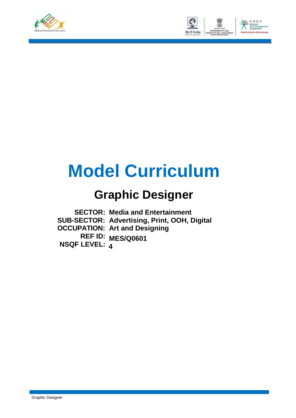



# **Model Curriculum**

### **Graphic Designer**

**SECTOR: Media and Entertainment SUB-SECTOR: Advertising, Print, OOH, Digital OCCUPATION: Art and Designing REF ID: MES/Q0601 NSQF LEVEL: 4**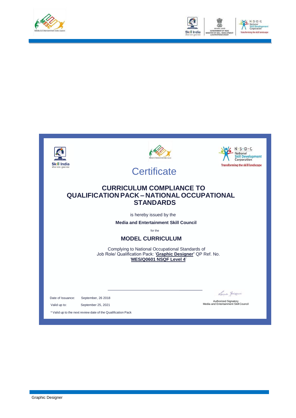



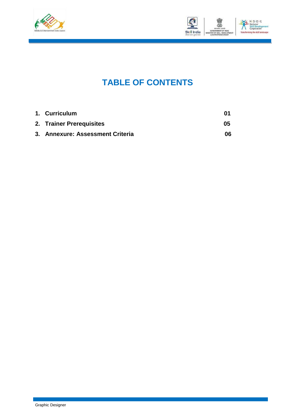



### **TABLE OF CONTENTS**

| 1. Curriculum                    | M1 |
|----------------------------------|----|
| 2. Trainer Prerequisites         | 05 |
| 3. Annexure: Assessment Criteria | 06 |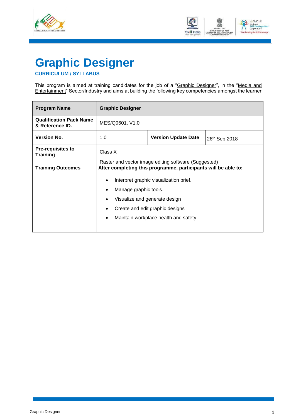



## <span id="page-3-0"></span>**Graphic Designer**

#### **CURRICULUM / SYLLABUS**

This program is aimed at training candidates for the job of a "<u>Graphic Designer</u>", in the "<u>Media and</u> Entertainment" Sector/Industry and aims at building the following key competencies amongst the learner

| <b>Program Name</b>                               | <b>Graphic Designer</b>                                         |                                                                                                                                                                             |  |  |  |
|---------------------------------------------------|-----------------------------------------------------------------|-----------------------------------------------------------------------------------------------------------------------------------------------------------------------------|--|--|--|
| <b>Qualification Pack Name</b><br>& Reference ID. | MES/Q0601, V1.0                                                 |                                                                                                                                                                             |  |  |  |
| <b>Version No.</b>                                | 1.0<br><b>Version Update Date</b><br>26th Sep 2018              |                                                                                                                                                                             |  |  |  |
| <b>Pre-requisites to</b><br><b>Training</b>       | Class X<br>Raster and vector image editing software (Suggested) |                                                                                                                                                                             |  |  |  |
| <b>Training Outcomes</b>                          | After completing this programme, participants will be able to:  |                                                                                                                                                                             |  |  |  |
|                                                   |                                                                 | Interpret graphic visualization brief.<br>Manage graphic tools.<br>Visualize and generate design<br>Create and edit graphic designs<br>Maintain workplace health and safety |  |  |  |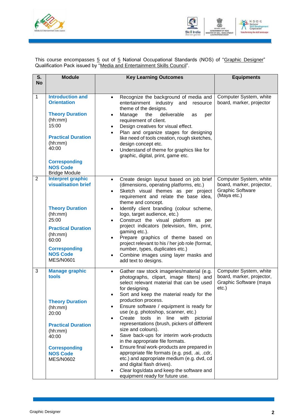



This course encompasses <u>5</u> out of <u>5</u> National Occupational Standards (NOS) of "<u>Graphic Designer</u>" Qualification Pack issued by "Media and Entertainment Skills Council".

| S.             | <b>Module</b>                                                                                                                                                                                                        | <b>Key Learning Outcomes</b>                                                                                                                                                                                                                                                                                                                                                                                                                                                                                                                                                                                                                                                                                                                                                                                                                     | <b>Equipments</b>                                                                             |  |
|----------------|----------------------------------------------------------------------------------------------------------------------------------------------------------------------------------------------------------------------|--------------------------------------------------------------------------------------------------------------------------------------------------------------------------------------------------------------------------------------------------------------------------------------------------------------------------------------------------------------------------------------------------------------------------------------------------------------------------------------------------------------------------------------------------------------------------------------------------------------------------------------------------------------------------------------------------------------------------------------------------------------------------------------------------------------------------------------------------|-----------------------------------------------------------------------------------------------|--|
| <b>No</b>      |                                                                                                                                                                                                                      |                                                                                                                                                                                                                                                                                                                                                                                                                                                                                                                                                                                                                                                                                                                                                                                                                                                  |                                                                                               |  |
| 1              | <b>Introduction and</b><br><b>Orientation</b><br><b>Theory Duration</b><br>(hh:mm)<br>15:00<br><b>Practical Duration</b><br>(hh:mm)<br>40:00<br><b>Corresponding</b><br><b>NOS Code</b><br><b>Bridge Module</b>      | Recognize the background of media and<br>$\bullet$<br>entertainment<br>industry<br>and<br>resource<br>theme of the designs.<br>deliverable<br>Manage<br>the<br>as<br>per<br>$\bullet$<br>requirement of client.<br>Design creatives for visual effect.<br>$\bullet$<br>Plan and organize stages for designing<br>$\bullet$<br>like need of tools creation, rough sketches,<br>design concept etc.<br>Understand of theme for graphics like for<br>$\bullet$<br>graphic, digital, print, game etc.                                                                                                                                                                                                                                                                                                                                                | Computer System, white<br>board, marker, projector                                            |  |
| $\overline{2}$ | <b>Interpret graphic</b><br><b>visualisation brief</b><br><b>Theory Duration</b><br>(hh:mm)<br>25:00<br><b>Practical Duration</b><br>(hh:mm)<br>60:00<br><b>Corresponding</b><br><b>NOS Code</b><br><b>MES/N0601</b> | Create design layout based on job brief<br>$\bullet$<br>(dimensions, operating platforms, etc.)<br>Sketch visual themes as per project<br>$\bullet$<br>requirement and relate the base idea,<br>theme and concept.<br>Identify client branding (colour scheme,<br>$\bullet$<br>logo, target audience, etc.)<br>Construct the visual platform as per<br>$\bullet$<br>project indicators (television, film, print,<br>gaming etc.).<br>Prepare graphics of theme based on<br>$\bullet$<br>project relevant to his / her job role (format,<br>number, types, duplicates etc.)<br>Combine images using layer masks and<br>$\bullet$<br>add text to designs.                                                                                                                                                                                          | Computer System, white<br>board, marker, projector,<br><b>Graphic Software</b><br>(Maya etc.) |  |
| 3              | <b>Manage graphic</b><br>tools<br><b>Theory Duration</b><br>(hh:mm)<br>20:00<br><b>Practical Duration</b><br>(hh:mm)<br>40:00<br><b>Corresponding</b><br><b>NOS Code</b><br><b>MES/N0602</b>                         | Gather raw stock imageries/material (e.g.<br>$\bullet$<br>photographs, clipart, image filters) and<br>select relevant material that can be used<br>for designing.<br>Sort and keep the material ready for the<br>production process.<br>Ensure software / equipment is ready for<br>$\bullet$<br>use (e.g. photoshop, scanner, etc.)<br>Create tools in line with pictorial<br>$\bullet$<br>representations (brush, pickers of different<br>size and colours).<br>Save back-ups for interim work-products<br>$\bullet$<br>in the appropriate file formats.<br>Ensure final work-products are prepared in<br>$\bullet$<br>appropriate file formats (e.g. psd, .ai, .cdr,<br>etc.) and appropriate medium (e.g. dvd, cd<br>and digital flash drives).<br>Clear logs/data and keep the software and<br>$\bullet$<br>equipment ready for future use. | Computer System, white<br>board, marker, projector,<br>Graphic Software (maya<br>$etc.$ )     |  |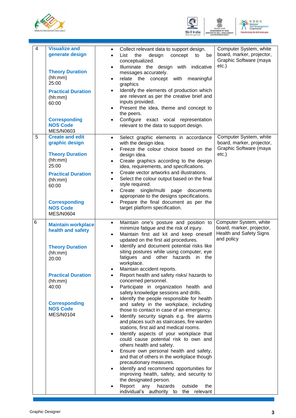





| $\overline{4}$ | <b>Visualize and</b><br>generate design<br><b>Theory Duration</b><br>(hh:mm)<br>25:00<br><b>Practical Duration</b><br>(hh:mm)<br>60:00<br><b>Corresponding</b><br><b>NOS Code</b><br><b>MES/N0603</b>        | Collect relevant data to support design.<br>$\bullet$<br>design<br>List<br>the<br>concept<br>be<br>to<br>$\bullet$<br>conceptualized.<br>Illuminate the design with indicative<br>$\bullet$<br>messages accurately.<br>relate the concept with<br>meaningful<br>$\bullet$<br>graphics<br>Identify the elements of production which<br>$\bullet$<br>are relevant as per the creative brief and<br>inputs provided.<br>Present the idea, theme and concept to<br>$\bullet$<br>the peers.<br>Configure exact vocal representation<br>$\bullet$<br>relevant to the data to support design.                                                                                                                                                                                                                                                                                                                                                                                                                                                                                                                                                                                                                                                                                                                                                                             | Computer System, white<br>board, marker, projector,<br>Graphic Software (maya<br>$etc.$ )    |
|----------------|--------------------------------------------------------------------------------------------------------------------------------------------------------------------------------------------------------------|--------------------------------------------------------------------------------------------------------------------------------------------------------------------------------------------------------------------------------------------------------------------------------------------------------------------------------------------------------------------------------------------------------------------------------------------------------------------------------------------------------------------------------------------------------------------------------------------------------------------------------------------------------------------------------------------------------------------------------------------------------------------------------------------------------------------------------------------------------------------------------------------------------------------------------------------------------------------------------------------------------------------------------------------------------------------------------------------------------------------------------------------------------------------------------------------------------------------------------------------------------------------------------------------------------------------------------------------------------------------|----------------------------------------------------------------------------------------------|
| 5              | <b>Create and edit</b><br>graphic design<br><b>Theory Duration</b><br>(hh:mm)<br>25:00<br><b>Practical Duration</b><br>(hh:mm)<br>60:00<br><b>Corresponding</b><br><b>NOS Code</b><br><b>MES/N0604</b>       | Select graphic elements in accordance<br>$\bullet$<br>with the design idea.<br>Freeze the colour choice based on the<br>$\bullet$<br>design idea.<br>Create graphics according to the design<br>$\bullet$<br>idea, requirements, and specifications.<br>Create vector artworks and illustrations.<br>$\bullet$<br>Select the colour output based on the final<br>$\bullet$<br>style required.<br>Create single/multi page<br>documents<br>$\bullet$<br>appropriate to the designs specifications.<br>Prepare the final document as per the<br>$\bullet$<br>target platform specification.                                                                                                                                                                                                                                                                                                                                                                                                                                                                                                                                                                                                                                                                                                                                                                          | Computer System, white<br>board, marker, projector,<br>Graphic Software (maya<br>$etc.$ )    |
| 6              | <b>Maintain workplace</b><br>health and safety<br><b>Theory Duration</b><br>(hh:mm)<br>20:00<br><b>Practical Duration</b><br>(hh:mm)<br>40:00<br><b>Corresponding</b><br><b>NOS Code</b><br><b>MES/N0104</b> | Maintain one's posture and position to<br>$\bullet$<br>minimize fatigue and the risk of injury.<br>Maintain first aid kit and keep oneself<br>$\bullet$<br>updated on the first aid procedures.<br>Identify and document potential risks like<br>$\bullet$<br>siting postures while using computer, eye<br>fatigues<br>and<br>other hazards in the<br>workplace.<br>Maintain accident reports.<br>Report health and safety risks/ hazards to<br>concerned personnel.<br>Participate in organization health and<br>$\bullet$<br>safety knowledge sessions and drills.<br>Identify the people responsible for health<br>$\bullet$<br>and safety in the workplace, including<br>those to contact in case of an emergency.<br>Identify security signals e.g. fire alarms<br>$\bullet$<br>and places such as staircases, fire warden<br>stations, first aid and medical rooms.<br>Identify aspects of your workplace that<br>$\bullet$<br>could cause potential risk to own and<br>others health and safety.<br>Ensure own personal health and safety,<br>$\bullet$<br>and that of others in the workplace though<br>precautionary measures.<br>Identify and recommend opportunities for<br>$\bullet$<br>improving health, safety, and security to<br>the designated person.<br>Report<br>hazards<br>outside<br>any<br>the<br>individual's authority to<br>the relevant | Computer System, white<br>board, marker, projector,<br>Health and Safety Signs<br>and policy |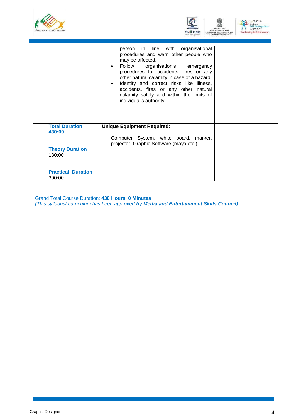



|                                 | person in line with organisational<br>procedures and warn other people who<br>may be affected.<br>Follow organisation's emergency<br>$\bullet$<br>procedures for accidents, fires or any<br>other natural calamity in case of a hazard.<br>Identify and correct risks like illness,<br>$\bullet$<br>accidents, fires or any other natural<br>calamity safely and within the limits of<br>individual's authority. |  |
|---------------------------------|------------------------------------------------------------------------------------------------------------------------------------------------------------------------------------------------------------------------------------------------------------------------------------------------------------------------------------------------------------------------------------------------------------------|--|
| <b>Total Duration</b><br>430:00 | <b>Unique Equipment Required:</b>                                                                                                                                                                                                                                                                                                                                                                                |  |
|                                 | Computer System, white board, marker,<br>projector, Graphic Software (maya etc.)                                                                                                                                                                                                                                                                                                                                 |  |
| <b>Theory Duration</b>          |                                                                                                                                                                                                                                                                                                                                                                                                                  |  |
| 130:00                          |                                                                                                                                                                                                                                                                                                                                                                                                                  |  |
| <b>Practical Duration</b>       |                                                                                                                                                                                                                                                                                                                                                                                                                  |  |
| 300:00                          |                                                                                                                                                                                                                                                                                                                                                                                                                  |  |

Grand Total Course Duration: **430 Hours, 0 Minutes** *(This syllabus/ curriculum has been approved by Media and Entertainment Skills Council)*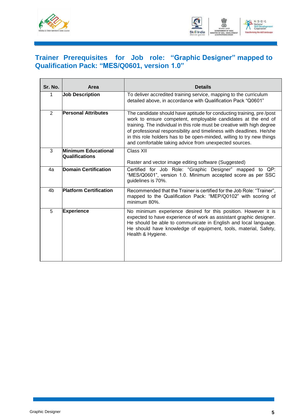



#### <span id="page-7-0"></span>**Trainer Prerequisites for Job role: "Graphic Designer" mapped to Qualification Pack: "MES/Q0601, version 1.0"**

| Sr. No.        | Area                                  | <b>Details</b>                                                                                                                                                                                                                                                                                                                                                                                                              |
|----------------|---------------------------------------|-----------------------------------------------------------------------------------------------------------------------------------------------------------------------------------------------------------------------------------------------------------------------------------------------------------------------------------------------------------------------------------------------------------------------------|
| 1              | <b>Job Description</b>                | To deliver accredited training service, mapping to the curriculum<br>detailed above, in accordance with Qualification Pack "Q0601"                                                                                                                                                                                                                                                                                          |
| $\overline{2}$ | <b>Personal Attributes</b>            | The candidate should have aptitude for conducting training, pre/post<br>work to ensure competent, employable candidates at the end of<br>training. The individual in this role must be creative with high degree<br>of professional responsibility and timeliness with deadlines. He/she<br>in this role holders has to be open-minded, willing to try new things<br>and comfortable taking advice from unexpected sources. |
| 3              | Minimum Educational<br>Qualifications | Class XII<br>Raster and vector image editing software (Suggested)                                                                                                                                                                                                                                                                                                                                                           |
| 4a             | <b>Domain Certification</b>           | Certified for Job Role: "Graphic Designer" mapped to QP:<br>"MES/Q0601", version 1.0. Minimum accepted score as per SSC<br>guidelines is 70%.                                                                                                                                                                                                                                                                               |
| 4 <sub>b</sub> | <b>Platform Certification</b>         | Recommended that the Trainer is certified for the Job Role: "Trainer",<br>mapped to the Qualification Pack: "MEP/Q0102" with scoring of<br>minimum 80%.                                                                                                                                                                                                                                                                     |
| 5              | <b>Experience</b>                     | No minimum experience desired for this position. However it is<br>expected to have experience of work as assistant graphic designer.<br>He should be able to communicate in English and local language.<br>He should have knowledge of equipment, tools, material, Safety,<br>Health & Hygiene.                                                                                                                             |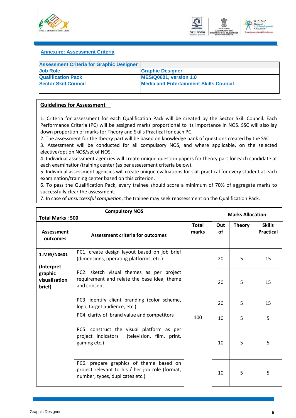



#### <span id="page-8-0"></span>**Annexure: Assessment Criteria**

| <b>Assessment Criteria for Graphic Designer</b> |                                               |
|-------------------------------------------------|-----------------------------------------------|
| <b>Job Role</b>                                 | <b>Graphic Designer</b>                       |
| <b>Qualification Pack</b>                       | <b>MES/Q0601, version 1.0</b>                 |
| <b>Sector Skill Council</b>                     | <b>Media and Entertainment Skills Council</b> |
|                                                 |                                               |

#### **Guidelines for Assessment**

1. Criteria for assessment for each Qualification Pack will be created by the Sector Skill Council. Each Performance Criteria (PC) will be assigned marks proportional to its importance in NOS. SSC will also lay down proportion of marks for Theory and Skills Practical for each PC.

2. The assessment for the theory part will be based on knowledge bank of questions created by the SSC.

3. Assessment will be conducted for all compulsory NOS, and where applicable, on the selected elective/option NOS/set of NOS.

4. Individual assessment agencies will create unique question papers for theory part for each candidate at each examination/training center (as per assessment criteria below).

5. Individual assessment agencies will create unique evaluations for skill practical for every student at each examination/training center based on this criterion.

6. To pass the Qualification Pack, every trainee should score a minimum of 70% of aggregate marks to successfully clear the assessment.

7. In case of *unsuccessful completion*, the trainee may seek reassessment on the Qualification Pack.

| <b>Compulsory NOS</b><br><b>Total Marks: 500</b> |                                                                                                                               |                       | <b>Marks Allocation</b> |               |                                   |
|--------------------------------------------------|-------------------------------------------------------------------------------------------------------------------------------|-----------------------|-------------------------|---------------|-----------------------------------|
| Assessment<br>outcomes                           | Assessment criteria for outcomes                                                                                              | <b>Total</b><br>marks | Out<br><b>of</b>        | <b>Theory</b> | <b>Skills</b><br><b>Practical</b> |
| 1. MES/N0601                                     | PC1. create design layout based on job brief<br>(dimensions, operating platforms, etc.)                                       |                       | 20                      | 5             | 15                                |
| (Interpret<br>graphic<br>visualisation<br>brief) | PC2. sketch visual themes as per project<br>requirement and relate the base idea, theme<br>and concept                        |                       | 20                      | 5             | 15                                |
|                                                  | PC3. identify client branding (color scheme,<br>logo, target audience, etc.)                                                  |                       | 20                      | 5             | 15                                |
|                                                  | PC4. clarity of brand value and competitors                                                                                   | 100                   | 10                      | 5             | 5                                 |
|                                                  | PC5. construct the visual platform as per<br>(television, film, print,<br>project indicators<br>gaming etc.)                  |                       | 10                      | 5             | 5                                 |
|                                                  | PC6. prepare graphics of theme based on<br>project relevant to his / her job role (format,<br>number, types, duplicates etc.) |                       | 10                      | 5             | 5                                 |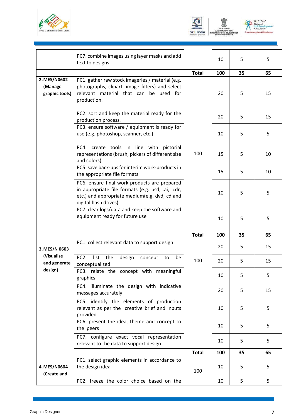





|                                           | PC7. combine images using layer masks and add<br>text to designs                                                                                                            |              | 10  | 5  | 5  |
|-------------------------------------------|-----------------------------------------------------------------------------------------------------------------------------------------------------------------------------|--------------|-----|----|----|
|                                           |                                                                                                                                                                             | <b>Total</b> | 100 | 35 | 65 |
| 2. MES/N0602<br>(Manage<br>graphic tools) | PC1. gather raw stock imageries / material (e.g.<br>photographs, clipart, image filters) and select<br>relevant material that can be used for<br>production.                |              | 20  | 5  | 15 |
|                                           | PC2. sort and keep the material ready for the<br>production process.                                                                                                        |              | 20  | 5  | 15 |
|                                           | PC3. ensure software / equipment is ready for<br>use (e.g. photoshop, scanner, etc.)                                                                                        |              | 10  | 5  | 5  |
|                                           | PC4. create tools in line with pictorial<br>representations (brush, pickers of different size<br>and colors)                                                                | 100          | 15  | 5  | 10 |
|                                           | PC5. save back-ups for interim work-products in<br>the appropriate file formats                                                                                             |              | 15  | 5  | 10 |
|                                           | PC6. ensure final work-products are prepared<br>in appropriate file formats (e.g. psd, .ai, .cdr,<br>etc.) and appropriate medium(e.g. dvd, cd and<br>digital flash drives) |              | 10  | 5  | 5  |
|                                           | PC7. clear logs/data and keep the software and<br>equipment ready for future use                                                                                            |              | 10  | 5  | 5  |
|                                           |                                                                                                                                                                             | <b>Total</b> | 100 | 35 | 65 |
| 3. MES/N 0603                             | PC1. collect relevant data to support design                                                                                                                                |              | 20  | 5  | 15 |
| (Visualise<br>and generate                | PC <sub>2</sub> .<br>list<br>the<br>design<br>concept<br>be<br>to<br>conceptualized                                                                                         | 100          | 20  | 5  | 15 |
| design)                                   | PC3. relate the concept with meaningful<br>graphics                                                                                                                         |              | 10  | 5  | 5  |
|                                           | PC4. illuminate the design with indicative<br>messages accurately                                                                                                           |              | 20  | 5  | 15 |
|                                           | PC5. identify the elements of production<br>relevant as per the creative brief and inputs<br>provided                                                                       |              | 10  | 5  | 5  |
|                                           | PC6. present the idea, theme and concept to<br>the peers                                                                                                                    |              | 10  | 5  | 5  |
|                                           | PC7. configure exact vocal representation<br>relevant to the data to support design                                                                                         |              | 10  | 5  | 5  |
|                                           |                                                                                                                                                                             | <b>Total</b> | 100 | 35 | 65 |
| 4. MES/N0604<br>(Create and               | PC1. select graphic elements in accordance to<br>the design idea                                                                                                            | 100          | 10  | 5  | 5  |
|                                           | PC2. freeze the color choice based on the                                                                                                                                   |              | 10  | 5  | 5  |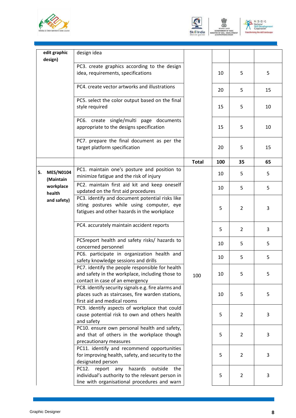





| edit graphic                        | design idea                                                                                                                                          |              |     |                |    |
|-------------------------------------|------------------------------------------------------------------------------------------------------------------------------------------------------|--------------|-----|----------------|----|
| design)                             |                                                                                                                                                      |              |     |                |    |
|                                     | PC3. create graphics according to the design<br>idea, requirements, specifications                                                                   |              | 10  | 5              | 5  |
|                                     | PC4. create vector artworks and illustrations                                                                                                        |              | 20  | 5              | 15 |
|                                     | PC5. select the color output based on the final<br>style required                                                                                    |              | 15  | 5              | 10 |
|                                     | PC6. create single/multi page documents<br>appropriate to the designs specification                                                                  |              | 15  | 5              | 10 |
|                                     | PC7. prepare the final document as per the<br>target platform specification                                                                          |              | 20  | 5              | 15 |
|                                     |                                                                                                                                                      | <b>Total</b> | 100 | 35             | 65 |
| <b>MES/N0104</b><br>5.<br>(Maintain | PC1. maintain one's posture and position to<br>minimize fatigue and the risk of injury                                                               |              | 10  | 5              | 5  |
| workplace<br>health                 | PC2. maintain first aid kit and keep oneself<br>updated on the first aid procedures                                                                  |              | 10  | 5              | 5  |
| and safety)                         | PC3. identify and document potential risks like<br>siting postures while using computer, eye<br>fatigues and other hazards in the workplace          |              | 5   | 2              | 3  |
|                                     | PC4. accurately maintain accident reports                                                                                                            |              | 5   | 2              | 3  |
|                                     | PC5report health and safety risks/ hazards to<br>concerned personnel                                                                                 |              | 10  | 5              | 5  |
|                                     | PC6. participate in organization health and<br>safety knowledge sessions and drills                                                                  |              | 10  | 5              | 5  |
|                                     | PC7. identify the people responsible for health<br>and safety in the workplace, including those to<br>contact in case of an emergency                | 100          | 10  | 5              | 5  |
|                                     | PC8. identify security signals e.g. fire alarms and<br>places such as staircases, fire warden stations,<br>first aid and medical rooms               |              | 10  | 5              | 5  |
|                                     | PC9. identify aspects of workplace that could<br>cause potential risk to own and others health<br>and safety                                         |              | 5   | $\overline{2}$ | 3  |
|                                     | PC10. ensure own personal health and safety,<br>and that of others in the workplace though<br>precautionary measures                                 |              | 5   | $\overline{2}$ | 3  |
|                                     | PC11. identify and recommend opportunities<br>for improving health, safety, and security to the<br>designated person                                 |              | 5   | $\overline{2}$ | 3  |
|                                     | report any<br>PC12.<br>hazards<br>outside<br>the<br>individual's authority to the relevant person in<br>line with organisational procedures and warn |              | 5   | $\overline{2}$ | 3  |